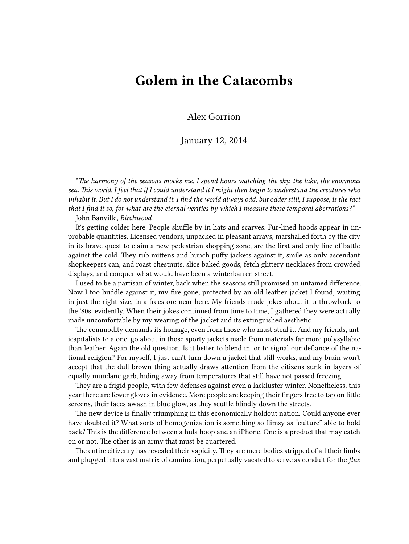## **Golem in the Catacombs**

Alex Gorrion

## January 12, 2014

"*The harmony of the seasons mocks me. I spend hours watching the sky, the lake, the enormous sea. This world. I feel that if I could understand it I might then begin to understand the creatures who inhabit it. But I do not understand it. I find the world always odd, but odder still, I suppose, is the fact that I find it so, for what are the eternal verities by which I measure these temporal aberrations?"*

John Banville, *Birchwood*

It's getting colder here. People shuffle by in hats and scarves. Fur-lined hoods appear in improbable quantities. Licensed vendors, unpacked in pleasant arrays, marshalled forth by the city in its brave quest to claim a new pedestrian shopping zone, are the first and only line of battle against the cold. They rub mittens and hunch puffy jackets against it, smile as only ascendant shopkeepers can, and roast chestnuts, slice baked goods, fetch glittery necklaces from crowded displays, and conquer what would have been a winterbarren street.

I used to be a partisan of winter, back when the seasons still promised an untamed difference. Now I too huddle against it, my fire gone, protected by an old leather jacket I found, waiting in just the right size, in a freestore near here. My friends made jokes about it, a throwback to the '80s, evidently. When their jokes continued from time to time, I gathered they were actually made uncomfortable by my wearing of the jacket and its extinguished aesthetic.

The commodity demands its homage, even from those who must steal it. And my friends, anticapitalists to a one, go about in those sporty jackets made from materials far more polysyllabic than leather. Again the old question. Is it better to blend in, or to signal our defiance of the national religion? For myself, I just can't turn down a jacket that still works, and my brain won't accept that the dull brown thing actually draws attention from the citizens sunk in layers of equally mundane garb, hiding away from temperatures that still have not passed freezing.

They are a frigid people, with few defenses against even a lackluster winter. Nonetheless, this year there are fewer gloves in evidence. More people are keeping their fingers free to tap on little screens, their faces awash in blue glow, as they scuttle blindly down the streets.

The new device is finally triumphing in this economically holdout nation. Could anyone ever have doubted it? What sorts of homogenization is something so flimsy as "culture" able to hold back? This is the difference between a hula hoop and an iPhone. One is a product that may catch on or not. The other is an army that must be quartered.

The entire citizenry has revealed their vapidity. They are mere bodies stripped of all their limbs and plugged into a vast matrix of domination, perpetually vacated to serve as conduit for the *flux*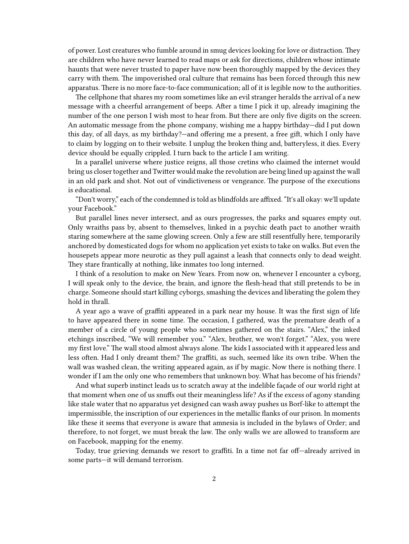of power. Lost creatures who fumble around in smug devices looking for love or distraction. They are children who have never learned to read maps or ask for directions, children whose intimate haunts that were never trusted to paper have now been thoroughly mapped by the devices they carry with them. The impoverished oral culture that remains has been forced through this new apparatus. There is no more face-to-face communication; all of it is legible now to the authorities.

The cellphone that shares my room sometimes like an evil stranger heralds the arrival of a new message with a cheerful arrangement of beeps. After a time I pick it up, already imagining the number of the one person I wish most to hear from. But there are only five digits on the screen. An automatic message from the phone company, wishing me a happy birthday—did I put down this day, of all days, as my birthday?—and offering me a present, a free gift, which I only have to claim by logging on to their website. I unplug the broken thing and, batteryless, it dies. Every device should be equally crippled. I turn back to the article I am writing.

In a parallel universe where justice reigns, all those cretins who claimed the internet would bring us closer together and Twitter would make the revolution are being lined up against the wall in an old park and shot. Not out of vindictiveness or vengeance. The purpose of the executions is educational.

"Don't worry," each of the condemned is told as blindfolds are affixed. "It's all okay: we'll update your Facebook."

But parallel lines never intersect, and as ours progresses, the parks and squares empty out. Only wraiths pass by, absent to themselves, linked in a psychic death pact to another wraith staring somewhere at the same glowing screen. Only a few are still resentfully here, temporarily anchored by domesticated dogs for whom no application yet exists to take on walks. But even the housepets appear more neurotic as they pull against a leash that connects only to dead weight. They stare frantically at nothing, like inmates too long interned.

I think of a resolution to make on New Years. From now on, whenever I encounter a cyborg, I will speak only to the device, the brain, and ignore the flesh-head that still pretends to be in charge. Someone should start killing cyborgs, smashing the devices and liberating the golem they hold in thrall.

A year ago a wave of graffiti appeared in a park near my house. It was the first sign of life to have appeared there in some time. The occasion, I gathered, was the premature death of a member of a circle of young people who sometimes gathered on the stairs. "Alex," the inked etchings inscribed, "We will remember you." "Alex, brother, we won't forget." "Alex, you were my first love." The wall stood almost always alone. The kids I associated with it appeared less and less often. Had I only dreamt them? The graffiti, as such, seemed like its own tribe. When the wall was washed clean, the writing appeared again, as if by magic. Now there is nothing there. I wonder if I am the only one who remembers that unknown boy. What has become of his friends?

And what superb instinct leads us to scratch away at the indelible façade of our world right at that moment when one of us snuffs out their meaningless life? As if the excess of agony standing like stale water that no apparatus yet designed can wash away pushes us Borf-like to attempt the impermissible, the inscription of our experiences in the metallic flanks of our prison. In moments like these it seems that everyone is aware that amnesia is included in the bylaws of Order; and therefore, to not forget, we must break the law. The only walls we are allowed to transform are on Facebook, mapping for the enemy.

Today, true grieving demands we resort to graffiti. In a time not far off—already arrived in some parts—it will demand terrorism.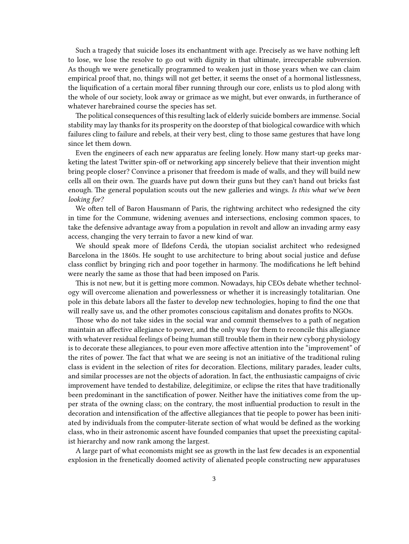Such a tragedy that suicide loses its enchantment with age. Precisely as we have nothing left to lose, we lose the resolve to go out with dignity in that ultimate, irrecuperable subversion. As though we were genetically programmed to weaken just in those years when we can claim empirical proof that, no, things will not get better, it seems the onset of a hormonal listlessness, the liquification of a certain moral fiber running through our core, enlists us to plod along with the whole of our society, look away or grimace as we might, but ever onwards, in furtherance of whatever harebrained course the species has set.

The political consequences of this resulting lack of elderly suicide bombers are immense. Social stability may lay thanks for its prosperity on the doorstep of that biological cowardice with which failures cling to failure and rebels, at their very best, cling to those same gestures that have long since let them down.

Even the engineers of each new apparatus are feeling lonely. How many start-up geeks marketing the latest Twitter spin-off or networking app sincerely believe that their invention might bring people closer? Convince a prisoner that freedom is made of walls, and they will build new cells all on their own. The guards have put down their guns but they can't hand out bricks fast enough. The general population scouts out the new galleries and wings. *Is this what we've been looking for?*

We often tell of Baron Hausmann of Paris, the rightwing architect who redesigned the city in time for the Commune, widening avenues and intersections, enclosing common spaces, to take the defensive advantage away from a population in revolt and allow an invading army easy access, changing the very terrain to favor a new kind of war.

We should speak more of Ildefons Cerdà, the utopian socialist architect who redesigned Barcelona in the 1860s. He sought to use architecture to bring about social justice and defuse class conflict by bringing rich and poor together in harmony. The modifications he left behind were nearly the same as those that had been imposed on Paris.

This is not new, but it is getting more common. Nowadays, hip CEOs debate whether technology will overcome alienation and powerlessness or whether it is increasingly totalitarian. One pole in this debate labors all the faster to develop new technologies, hoping to find the one that will really save us, and the other promotes conscious capitalism and donates profits to NGOs.

Those who do not take sides in the social war and commit themselves to a path of negation maintain an affective allegiance to power, and the only way for them to reconcile this allegiance with whatever residual feelings of being human still trouble them in their new cyborg physiology is to decorate these allegiances, to pour even more affective attention into the "improvement" of the rites of power. The fact that what we are seeing is not an initiative of the traditional ruling class is evident in the selection of rites for decoration. Elections, military parades, leader cults, and similar processes are not the objects of adoration. In fact, the enthusiastic campaigns of civic improvement have tended to destabilize, delegitimize, or eclipse the rites that have traditionally been predominant in the sanctification of power. Neither have the initiatives come from the upper strata of the owning class; on the contrary, the most influential production to result in the decoration and intensification of the affective allegiances that tie people to power has been initiated by individuals from the computer-literate section of what would be defined as the working class, who in their astronomic ascent have founded companies that upset the preexisting capitalist hierarchy and now rank among the largest.

A large part of what economists might see as growth in the last few decades is an exponential explosion in the frenetically doomed activity of alienated people constructing new apparatuses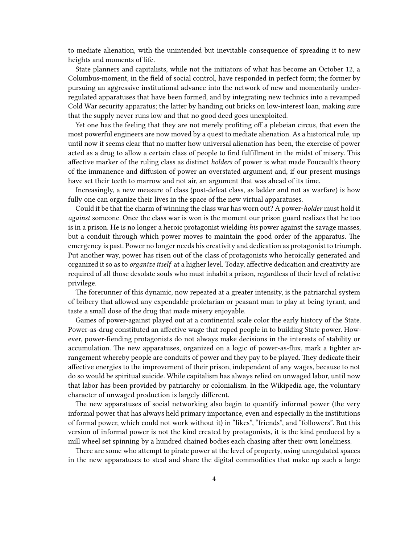to mediate alienation, with the unintended but inevitable consequence of spreading it to new heights and moments of life.

State planners and capitalists, while not the initiators of what has become an October 12, a Columbus-moment, in the field of social control, have responded in perfect form; the former by pursuing an aggressive institutional advance into the network of new and momentarily underregulated apparatuses that have been formed, and by integrating new technics into a revamped Cold War security apparatus; the latter by handing out bricks on low-interest loan, making sure that the supply never runs low and that no good deed goes unexploited.

Yet one has the feeling that they are not merely profiting off a plebeian circus, that even the most powerful engineers are now moved by a quest to mediate alienation. As a historical rule, up until now it seems clear that no matter how universal alienation has been, the exercise of power acted as a drug to allow a certain class of people to find fulfillment in the midst of misery. This affective marker of the ruling class as distinct *holders* of power is what made Foucault's theory of the immanence and diffusion of power an overstated argument and, if our present musings have set their teeth to marrow and not air, an argument that was ahead of its time.

Increasingly, a new measure of class (post-defeat class, as ladder and not as warfare) is how fully one can organize their lives in the space of the new virtual apparatuses.

Could it be that the charm of winning the class war has worn out? A power-*holder* must hold it *against* someone. Once the class war is won is the moment our prison guard realizes that he too is in a prison. He is no longer a heroic protagonist wielding *his* power against the savage masses, but a conduit through which power moves to maintain the good order of the apparatus. The emergency is past. Power no longer needs his creativity and dedication as protagonist to triumph. Put another way, power has risen out of the class of protagonists who heroically generated and organized it so as to *organize itself* at a higher level. Today, affective dedication and creativity are required of all those desolate souls who must inhabit a prison, regardless of their level of relative privilege.

The forerunner of this dynamic, now repeated at a greater intensity, is the patriarchal system of bribery that allowed any expendable proletarian or peasant man to play at being tyrant, and taste a small dose of the drug that made misery enjoyable.

Games of power-against played out at a continental scale color the early history of the State. Power-as-drug constituted an affective wage that roped people in to building State power. However, power-fiending protagonists do not always make decisions in the interests of stability or accumulation. The new apparatuses, organized on a logic of power-as-flux, mark a tighter arrangement whereby people are conduits of power and they pay to be played. They dedicate their affective energies to the improvement of their prison, independent of any wages, because to not do so would be spiritual suicide. While capitalism has always relied on unwaged labor, until now that labor has been provided by patriarchy or colonialism. In the Wikipedia age, the voluntary character of unwaged production is largely different.

The new apparatuses of social networking also begin to quantify informal power (the very informal power that has always held primary importance, even and especially in the institutions of formal power, which could not work without it) in "likes", "friends", and "followers". But this version of informal power is not the kind created by protagonists, it is the kind produced by a mill wheel set spinning by a hundred chained bodies each chasing after their own loneliness.

There are some who attempt to pirate power at the level of property, using unregulated spaces in the new apparatuses to steal and share the digital commodities that make up such a large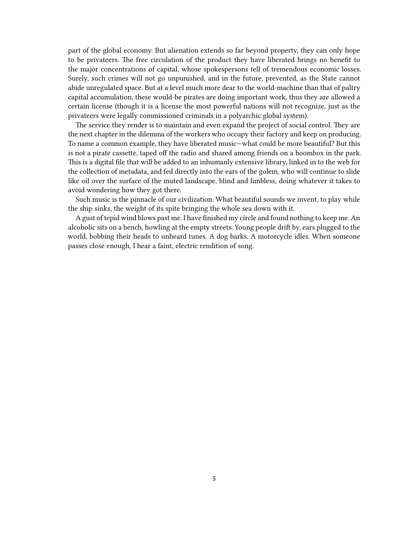part of the global economy. But alienation extends so far beyond property, they can only hope to be privateers. The free circulation of the product they have liberated brings no benefit to the major concentrations of capital, whose spokespersons tell of tremendous economic losses. Surely, such crimes will not go unpunished, and in the future, prevented, as the State cannot abide unregulated space. But at a level much more dear to the world-machine than that of paltry capital accumulation, these would-be pirates are doing important work, thus they are allowed a certain license (though it is a license the most powerful nations will not recognize, just as the privateers were legally commissioned criminals in a polyarchic global system).

The service they render is to maintain and even expand the project of social control. They are the next chapter in the dilemma of the workers who occupy their factory and keep on producing. To name a common example, they have liberated music—what could be more beautiful? But this is not a pirate cassette, taped off the radio and shared among friends on a boombox in the park. This is a digital file that will be added to an inhumanly extensive library, linked in to the web for the collection of metadata, and fed directly into the ears of the golem, who will continue to slide like oil over the surface of the muted landscape, blind and limbless, doing whatever it takes to avoid wondering how they got there.

Such music is the pinnacle of our civilization. What beautiful sounds we invent, to play while the ship sinks, the weight of its spite bringing the whole sea down with it.

A gust of tepid wind blows past me. I have finished my circle and found nothing to keep me. An alcoholic sits on a bench, howling at the empty streets. Young people drift by, ears plugged to the world, bobbing their heads to unheard tunes. A dog barks. A motorcycle idles. When someone passes close enough, I hear a faint, electric rendition of song.